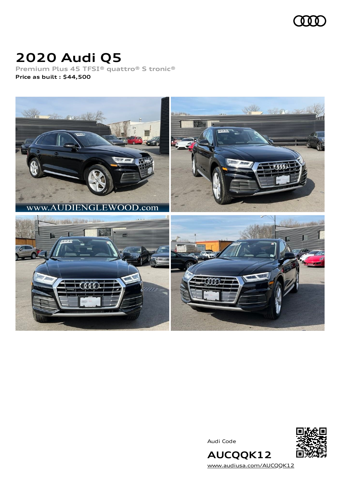

# **2020 Audi Q5**

**Premium Plus 45 TFSI® quattro® S tronic® Price as built [:](#page-8-0) \$44,500**



Audi Code



[www.audiusa.com/AUCQQK12](https://www.audiusa.com/AUCQQK12)

**AUCQQK12**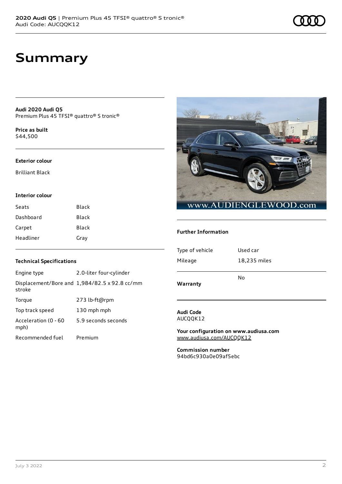# **Summary**

**Audi 2020 Audi Q5** Premium Plus 45 TFSI® quattro® S tronic®

**Price as buil[t](#page-8-0)** \$44,500

#### **Exterior colour**

Brilliant Black

### **Interior colour**

| Seats     | Black |
|-----------|-------|
| Dashboard | Black |
| Carpet    | Black |
| Headliner | Gray  |



### **Further Information**

| Type of vehicle | Used car     |
|-----------------|--------------|
| Mileage         | 18,235 miles |
|                 | No           |
| Warranty        |              |

### **Audi Code** AUCQQK12

**Your configuration on www.audiusa.com** [www.audiusa.com/AUCQQK12](https://www.audiusa.com/AUCQQK12)

**Commission number** 94bd6c930a0e09af5ebc

### **Technical Specifications**

| Engine type                  | 2.0-liter four-cylinder                       |
|------------------------------|-----------------------------------------------|
| stroke                       | Displacement/Bore and 1,984/82.5 x 92.8 cc/mm |
| Torque                       | 273 lb-ft@rpm                                 |
| Top track speed              | 130 mph mph                                   |
| Acceleration (0 - 60<br>mph) | 5.9 seconds seconds                           |
| Recommended fuel             | Premium                                       |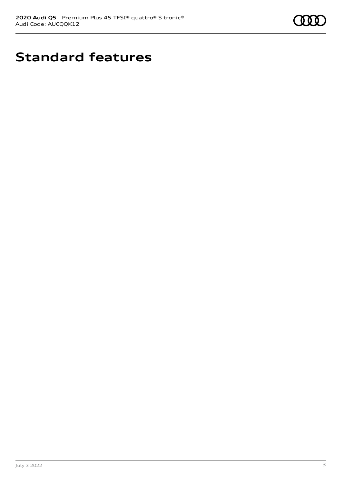

# **Standard features**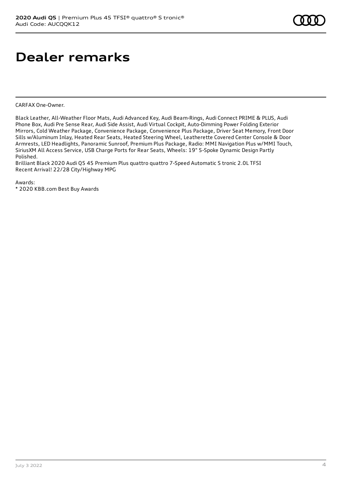# **Dealer remarks**

CARFAX One-Owner.

Black Leather, All-Weather Floor Mats, Audi Advanced Key, Audi Beam-Rings, Audi Connect PRIME & PLUS, Audi Phone Box, Audi Pre Sense Rear, Audi Side Assist, Audi Virtual Cockpit, Auto-Dimming Power Folding Exterior Mirrors, Cold Weather Package, Convenience Package, Convenience Plus Package, Driver Seat Memory, Front Door Sills w/Aluminum Inlay, Heated Rear Seats, Heated Steering Wheel, Leatherette Covered Center Console & Door Armrests, LED Headlights, Panoramic Sunroof, Premium Plus Package, Radio: MMI Navigation Plus w/MMI Touch, SiriusXM All Access Service, USB Charge Ports for Rear Seats, Wheels: 19" 5-Spoke Dynamic Design Partly Polished.

Brilliant Black 2020 Audi Q5 45 Premium Plus quattro quattro 7-Speed Automatic S tronic 2.0L TFSI Recent Arrival! 22/28 City/Highway MPG

Awards:

\* 2020 KBB.com Best Buy Awards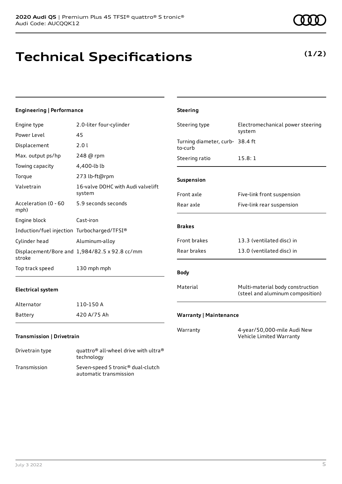# **Technical Specifications**

#### **Engineering | Performance** Engine type 2.0-liter four-cylinder Power Level 45 Displacement 2.0 l Max. output ps/hp 248 @ rpm Towing capacity 4,400-lb lb Torque 273 lb-ft@rpm Valvetrain 16-valve DOHC with Audi valvelift system Acceleration (0 - 60 mph) 5.9 seconds seconds Engine block Cast-iron Induction/fuel injection Turbocharged/TFSI® Cylinder head Aluminum-alloy Displacement/Bore and 1,984/82.5 x 92.8 cc/mm stroke Top track speed 130 mph mph **Electrical system** Alternator 110-150 A Battery 420 A/75 Ah **Steering** Steering type Electromechanical power steering system Turning diameter, curb-38.4 ft to-curb Steering ratio 15.8:1 **Suspension** Front axle Five-link front suspension Rear axle Five-link rear suspension **Brakes** Front brakes 13.3 (ventilated disc) in Rear brakes 13.0 (ventilated disc) in **Body** Material Multi-material body construction (steel and aluminum composition) **Warranty | Maintenance** Warranty 4-year/50,000-mile Audi New Vehicle Limited Warranty

### **Transmission | Drivetrain**

| Drivetrain type | quattro <sup>®</sup> all-wheel drive with ultra <sup>®</sup><br>technology |
|-----------------|----------------------------------------------------------------------------|
| Transmission    | Seven-speed S tronic <sup>®</sup> dual-clutch<br>automatic transmission    |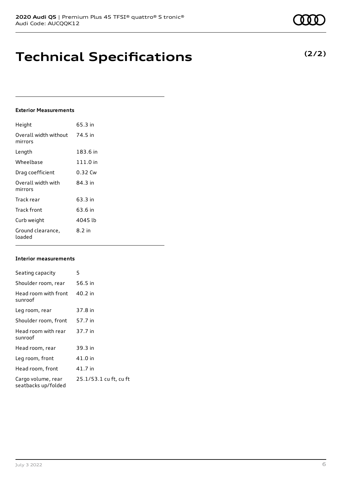## **Technical Specifications**

### **Exterior Measurements**

| Height                           | 65.3 in  |
|----------------------------------|----------|
| Overall width without<br>mirrors | 74.5 in  |
| Length                           | 183.6 in |
| Wheelbase                        | 111.0 in |
| Drag coefficient                 | 0.32 Cw  |
| Overall width with<br>mirrors    | 84.3 in  |
| Track rear                       | 63.3 in  |
| Track front                      | 63.6 in  |
| Curb weight                      | 4045 lb  |
| Ground clearance,<br>loaded      | 8.2 in   |

### **Interior measurements**

| Seating capacity                          | 5                      |
|-------------------------------------------|------------------------|
| Shoulder room, rear                       | 56.5 in                |
| Head room with front<br>sunroof           | 40.2 in                |
| Leg room, rear                            | 37.8 in                |
| Shoulder room, front                      | 57.7 in                |
| Head room with rear<br>sunroof            | 37.7 in                |
| Head room, rear                           | 39.3 in                |
| Leg room, front                           | 41.0 in                |
| Head room, front                          | 41.7 in                |
| Cargo volume, rear<br>seatbacks up/folded | 25.1/53.1 cu ft, cu ft |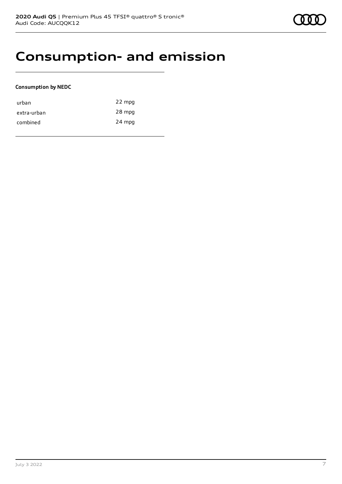### **Consumption- and emission**

### **Consumption by NEDC**

| urban       | 22 mpg |
|-------------|--------|
| extra-urban | 28 mpg |
| combined    | 24 mpg |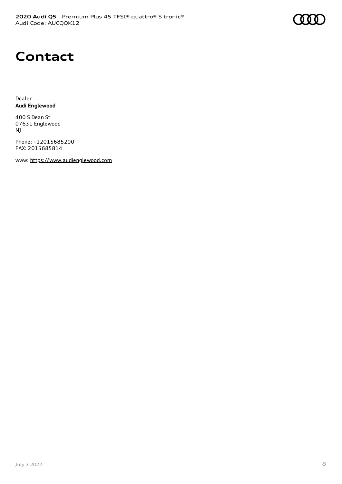## **Contact**

Dealer **Audi Englewood**

400 S Dean St 07631 Englewood NJ

Phone: +12015685200 FAX: 2015685814

www: [https://www.audienglewood.com](https://www.audienglewood.com/)